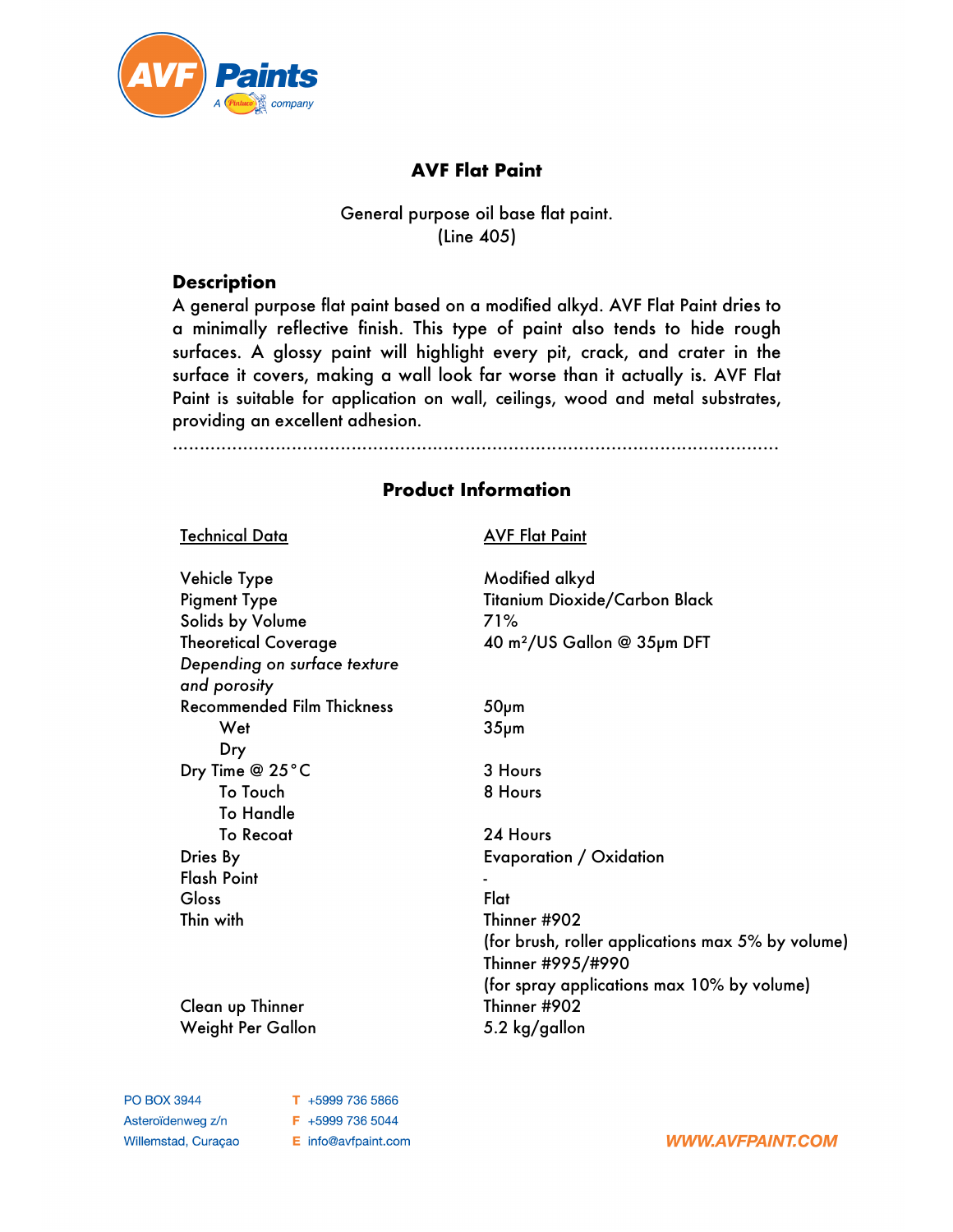

# **AVF Flat Paint**

## General purpose oil base flat paint. (Line 405)

## **Description**

A general purpose flat paint based on a modified alkyd. AVF Flat Paint dries to a minimally reflective finish. This type of paint also tends to hide rough surfaces. A glossy paint will highlight every pit, crack, and crater in the surface it covers, making a wall look far worse than it actually is. AVF Flat Paint is suitable for application on wall, ceilings, wood and metal substrates, providing an excellent adhesion.

................................................................................................................

# **Product Information**

| <b>Technical Data</b>                        | <b>AVF Flat Paint</b>                             |
|----------------------------------------------|---------------------------------------------------|
| Vehicle Type                                 | Modified alkyd                                    |
| <b>Pigment Type</b>                          | Titanium Dioxide/Carbon Black                     |
| Solids by Volume                             | 71%                                               |
| <b>Theoretical Coverage</b>                  | 40 m <sup>2</sup> /US Gallon @ 35pm DFT           |
| Depending on surface texture<br>and porosity |                                                   |
| <b>Recommended Film Thickness</b>            | $50µ$ m                                           |
| Wet                                          | 35 <sub>µ</sub> m                                 |
| Dry                                          |                                                   |
| Dry Time @ 25°C                              | 3 Hours                                           |
| To Touch                                     | 8 Hours                                           |
| <b>To Handle</b>                             |                                                   |
| <b>To Recoat</b>                             | 24 Hours                                          |
| Dries By                                     | Evaporation / Oxidation                           |
| <b>Flash Point</b>                           |                                                   |
| Gloss                                        | Flat                                              |
| Thin with                                    | Thinner #902                                      |
|                                              | (for brush, roller applications max 5% by volume) |
|                                              | Thinner #995/#990                                 |
|                                              | (for spray applications max 10% by volume)        |
| Clean up Thinner                             | Thinner #902                                      |
| Weight Per Gallon                            | 5.2 kg/gallon                                     |

**PO BOX 3944** Asteroïdenweg z/n Willemstad, Curaçao T +5999 736 5866 F +5999 736 5044 E info@avfpaint.com

**WWW.AVFPAINT.COM**